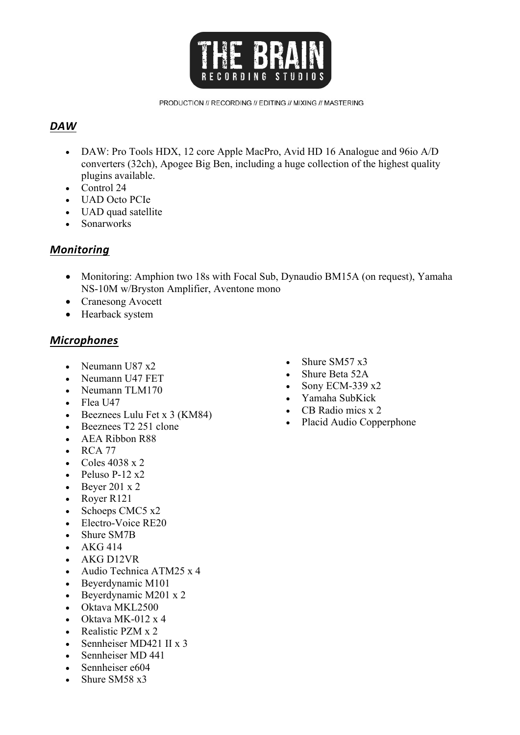

PRODUCTION // RECORDING // EDITING // MIXING // MASTERING

# *DAW*

- DAW: Pro Tools HDX, 12 core Apple MacPro, Avid HD 16 Analogue and 96 io A/D converters (32ch), Apogee Big Ben, including a huge collection of the highest quality plugins available.
- Control 24
- UAD Octo PCIe
- UAD quad satellite
- Sonarworks

# *Monitoring*

- Monitoring: Amphion two 18s with Focal Sub, Dynaudio BM15A (on request), Yamaha NS-10M w/Bryston Amplifier, Aventone mono
- Cranesong Avocett
- Hearback system

### *Microphones*

- Neumann U87 x2
- Neumann U47 FET
- Neumann TLM170
- Flea U47
- Beeznees Lulu Fet x 3 (KM84)
- Beeznees T<sub>2</sub> 251 clone
- AEA Ribbon R88
- RCA 77
- Coles  $4038 \times 2$
- Peluso P-12 $x2$
- Beyer 201  $x$  2
- Royer R121
- Schoeps CMC5 x2
- Electro-Voice RE20
- Shure SM7B
- $\bullet$  AKG 414
- AKG D12VR
- Audio Technica ATM25 x 4
- Beyerdynamic M101
- Beyerdynamic M201 x 2
- Oktava MKL2500
- Oktava MK-012  $\times$  4
- Realistic PZM x 2
- Sennheiser MD421 II x 3
- Sennheiser MD 441
- Sennheiser e604
- Shure SM58 x3
- Shure SM57 x3
- Shure Beta 52A
- Sony ECM-339 x2
- Yamaha SubKick
- CB Radio mics x 2
- Placid Audio Copperphone